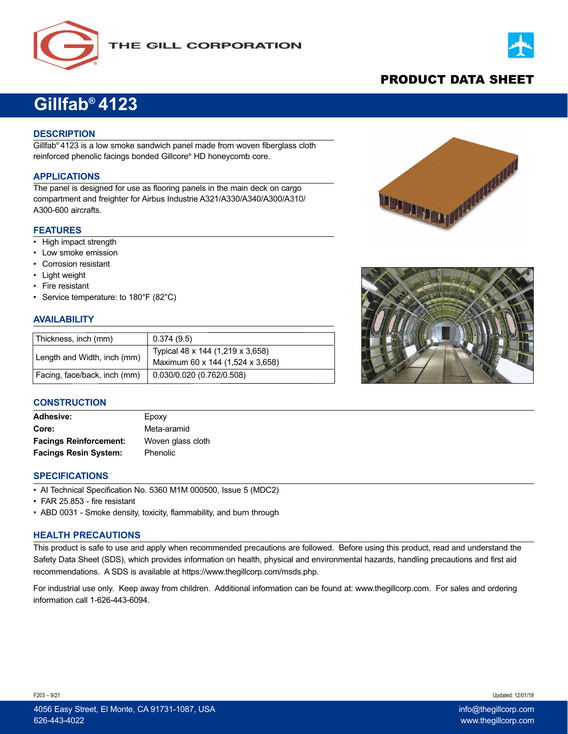



# PRODUCT DATA SHEET

# **Gillfab® 4123**

## **DESCRIPTION**

Gillfab® 4123 is a low smoke sandwich panel made from woven fiberglass cloth reinforced phenolic facings bonded Gillcore® HD honeycomb core.

# **APPLICATIONS**

The panel is designed for use as flooring panels in the main deck on cargo compartment and freighter for Airbus Industrie A321/A330/A340/A300/A310/ A300-600 aircrafts.

#### **FEATURES**

- High impact strength
- Low smoke emission
- Corrosion resistant
- Light weight
- Fire resistant
- Service temperature: to 180°F (82°C)

## **AVAILABILITY**

| Thickness, inch (mm)         | 0.374(9.5)                                                           |
|------------------------------|----------------------------------------------------------------------|
| Length and Width, inch (mm)  | Typical 48 x 144 (1,219 x 3,658)<br>Maximum 60 x 144 (1,524 x 3,658) |
| Facing, face/back, inch (mm) | $\vert$ 0.030/0.020 (0.762/0.508)                                    |



#### **CONSTRUCTION**

| <b>Adhesive:</b>              | Epoxy             |
|-------------------------------|-------------------|
| Core:                         | Meta-aramid       |
| <b>Facings Reinforcement:</b> | Woven glass cloth |
| <b>Facings Resin System:</b>  | Phenolic          |

#### **SPECIFICATIONS**

- AI Technical Specification No. 5360 M1M 000500, Issue 5 (MDC2)
- FAR 25.853 fire resistant
- ABD 0031 Smoke density, toxicity, flammability, and burn through

#### **HEALTH PRECAUTIONS**

This product is safe to use and apply when recommended precautions are followed. Before using this product, read and understand the Safety Data Sheet (SDS), which provides information on health, physical and environmental hazards, handling precautions and first aid recommendations. A SDS is available at https://www.thegillcorp.com/msds.php.

For industrial use only. Keep away from children. Additional information can be found at: www.thegillcorp.com. For sales and ordering information call 1-626-443-6094.